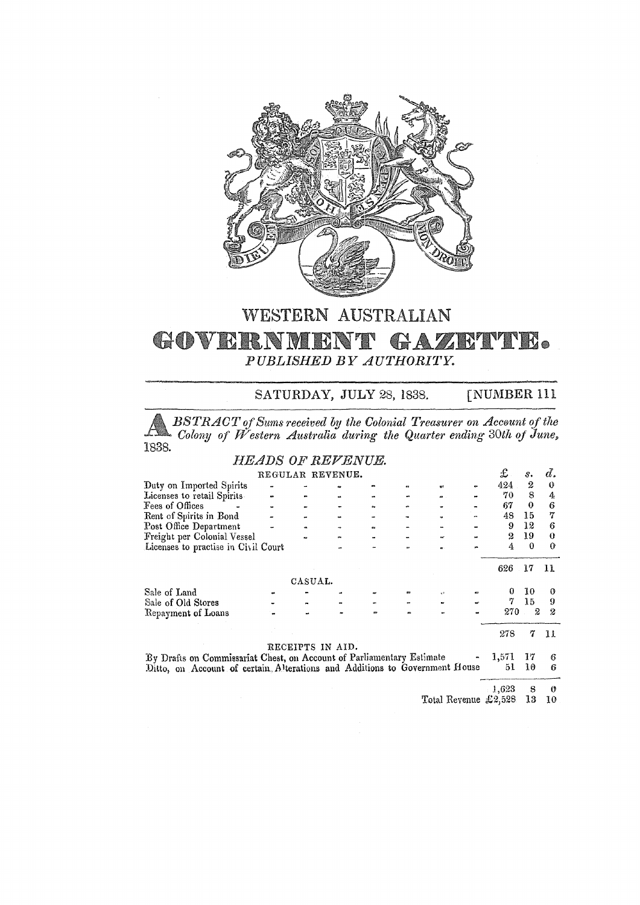

## WESTERN AUSTRALIAN GOVERNMENT GAZETTE PUBLISHED BY AUTHORITY.

SATURDAY, JULY 28, 1838. [NUMBER 111

BSTRACT of Sums received by the Colonial Treasurer on Account of the Colony of Western Australia during the Quarter ending 30th of June, 1838.

## HEADS OF REVENUE.

|                                                                            |  | REGULAR REVENUE. |            |    |  |  |  | £     | s.       | d.       |
|----------------------------------------------------------------------------|--|------------------|------------|----|--|--|--|-------|----------|----------|
| Duty on Imported Spirits                                                   |  |                  |            |    |  |  |  | 424   | 2        | $\theta$ |
| Licenses to retail Spirits                                                 |  |                  |            |    |  |  |  | 70    | 8        | 4        |
| Fees of Offices                                                            |  |                  |            | e. |  |  |  | 67    | 0        | 6        |
| Rent of Spirits in Bond                                                    |  |                  | <b>est</b> |    |  |  |  | 48    | 15       | 7        |
| Post Office Department                                                     |  |                  |            |    |  |  |  | 9     | 12       | 6        |
| Freight per Colonial Vessel                                                |  |                  |            |    |  |  |  | 2     | 19       | 0        |
| Licenses to practise in Civil Court                                        |  |                  |            |    |  |  |  |       | $\Omega$ | ∩        |
|                                                                            |  |                  |            |    |  |  |  | 626   | - 17     | 11       |
| CASUAL.                                                                    |  |                  |            |    |  |  |  |       |          |          |
| Sale of Land                                                               |  |                  |            |    |  |  |  |       | 10       | ∩        |
| Sale of Old Stores                                                         |  |                  |            |    |  |  |  |       | 15       | 9        |
| Repayment of Loans                                                         |  |                  |            |    |  |  |  | 270   | 2        | 2        |
|                                                                            |  |                  |            |    |  |  |  | 278   | 7        | 11       |
|                                                                            |  | RECEIPTS IN AID. |            |    |  |  |  |       |          |          |
| By Drafts on Commissariat Chest, on Account of Parliamentary Estimate      |  |                  |            |    |  |  |  | 1,571 |          | 6        |
| Ditto, on Account of certain Alterations and Additions to Government House |  |                  |            |    |  |  |  | 51    | 10       | 6        |

 $1,623$  8 0<br>Total Revenue £2,528 13 10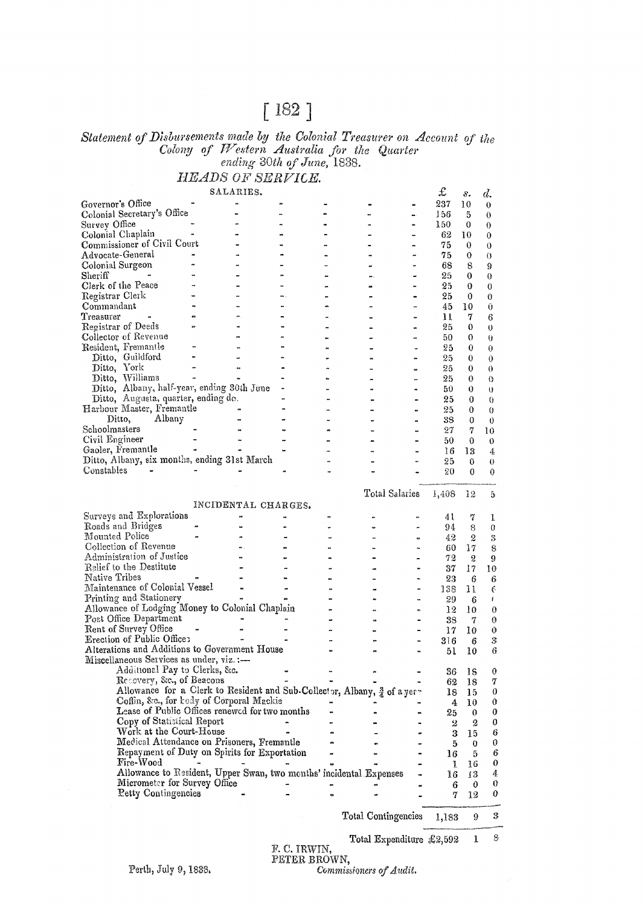## $[182]$

## Statement of Disbursements made by the Colonial Treasurer on Account of the<br>Colony of Western Australia for the Quarter<br>ending 30th of June, 1838.

HEADS OF SERVICE.

|                                                                                                    | SALARIES. |                     |   |                     |   | £     | ς.               | d.               |
|----------------------------------------------------------------------------------------------------|-----------|---------------------|---|---------------------|---|-------|------------------|------------------|
| Governor's Office                                                                                  | $\bullet$ |                     |   |                     |   | 237   | 10               | $\mathbf{0}$     |
| Colonial Secretary's Office                                                                        |           |                     |   |                     |   | 156   | 5                | $\theta$         |
| Survey Office                                                                                      |           |                     |   |                     | ۰ | 150   | 0                | $\theta$         |
| Colonial Chaplain                                                                                  |           |                     |   |                     |   | 62    | 10               | $\theta$         |
| Commissioner of Civil Court                                                                        |           |                     |   |                     |   | 75    | 0                | $\bf{0}$         |
| Advocate-General                                                                                   |           |                     |   |                     |   | 75    | 0                | 0                |
| Colonial Surgeon                                                                                   |           |                     |   |                     |   | 68    | 8                | 9                |
| Sheriff                                                                                            |           |                     |   |                     |   | 25    | 0                | $\theta$         |
| Clerk of the Peace                                                                                 |           |                     |   |                     |   | 25    | $\bf{0}$         | $\bf{0}$         |
| Registrar Clerk                                                                                    |           |                     |   |                     |   | 25    | $\bf{0}$         | 0                |
| Commandant                                                                                         |           |                     |   |                     |   | 45    | 10               | Û                |
| ${\bf T}$ reasurer                                                                                 |           |                     |   |                     |   | 11    | 7                | $6\phantom{.}6$  |
| Registrar of Deeds                                                                                 |           |                     |   |                     |   | 25    | 0                | $\theta$         |
| Collector of Revenue                                                                               |           |                     |   |                     |   | 50    | 0                | 0                |
| Resident, Fremantle                                                                                |           |                     |   |                     |   | 25    | $\bf{0}$         | 0                |
| Ditto, Guildford                                                                                   |           |                     |   |                     |   | 25    | $\theta$         | $\theta$         |
| Ditto, York                                                                                        |           |                     |   |                     |   | 25    | 0                | $\theta$         |
| Ditto, Williams                                                                                    |           |                     |   |                     |   | 25    | 0                | $\theta$         |
| Ditto, Albany, half-year, ending 30th June                                                         |           |                     |   |                     |   | 50    | 0                | U                |
| Ditto, Augusta, quarter, ending do.                                                                |           |                     |   |                     |   | 25    | 0                | 0                |
| Harbour Master, Fremantle                                                                          |           |                     |   |                     |   | 25    | 0                | $\theta$         |
| Albany<br>Ditto,                                                                                   |           |                     |   |                     |   | 38    | 0                | $\theta$         |
| Schoolmasters                                                                                      |           |                     | œ |                     |   | 27    | 7                | 10               |
| Civil Engineer                                                                                     |           |                     |   |                     |   | 50    | $\theta$         | $\bf{0}$         |
| Gaoler, Fremantle                                                                                  |           |                     |   |                     |   | 16    | 13               | 4                |
| Ditto, Albany, six months, ending 31st March                                                       |           |                     |   |                     |   | 25    | 0                | 0                |
| Constables                                                                                         |           |                     |   |                     |   | 20    | $\theta$         | $\theta$         |
|                                                                                                    |           |                     |   |                     |   |       |                  |                  |
|                                                                                                    |           |                     |   | Total Salaries      |   | 1,408 | 12               | 5                |
|                                                                                                    |           | INCIDENTAL CHARGES. |   |                     |   |       |                  |                  |
| Surveys and Explorations                                                                           |           |                     |   |                     |   | 41    | 7                | 1                |
| Roads and Bridges                                                                                  |           |                     |   |                     |   | 94    | 8                | $\boldsymbol{0}$ |
| Mounted Police                                                                                     |           |                     |   |                     | ÷ | 42    | $\boldsymbol{2}$ | $\boldsymbol{3}$ |
| Collection of Revenue                                                                              |           |                     |   |                     |   | 60    | 17               | $\mathbf{s}$     |
| Administration of Justice                                                                          |           |                     |   |                     |   | 72    | $\boldsymbol{2}$ | 9                |
| Relief to the Destitute                                                                            |           |                     |   |                     |   | 37    | 17               | 10               |
| Native Tribes                                                                                      |           |                     |   |                     |   | 23    | 6                | 6                |
| Maintenance of Colonial Vessel                                                                     |           |                     |   |                     |   | 138   | 11               | $\epsilon$       |
| Printing and Stationery                                                                            |           |                     |   |                     |   | 29    | 6                | ŧ                |
| Allowance of Lodging Money to Colonial Chaplain                                                    |           |                     |   |                     |   | 12    | 10               | 0                |
| Post Office Department                                                                             |           |                     |   |                     |   | 38    | -7               | 0                |
| Rent of Survey Office                                                                              |           |                     |   |                     |   | 17    | 10               | $\bf{0}$         |
| Erection of Public Office:                                                                         |           |                     |   |                     |   | 316   | 6                | 3                |
| Alterations and Additions to Government House                                                      |           |                     |   |                     |   | 51    | 10               | 6                |
| Miscellaneous Services as under, viz. :-                                                           |           |                     |   |                     |   |       |                  |                  |
| Additional Pay to Clerks, &c.                                                                      |           |                     |   |                     |   | 36    | 18               | 0                |
| Recovery, &c., of Beacons                                                                          |           |                     |   |                     |   | 62    | 18               | 7                |
| Allowance for a Clerk to Resident and Sub-Collector, Albany, $\frac{3}{4}$ of a year               |           |                     |   |                     |   | 18    | 15               | $\boldsymbol{0}$ |
| Coffin, &c., for kedy of Corporal Mackie                                                           |           |                     |   |                     |   | 4     | 10               | 0                |
| Lease of Public Offices renewed for two months                                                     |           |                     |   |                     |   | 25    | 0                | $\boldsymbol{0}$ |
| Copy of Statistical Report<br>Work at the Court-House                                              |           |                     |   |                     |   | 2     | 2                | 0                |
|                                                                                                    |           |                     |   |                     |   | 3     | 15               | 6                |
| Medical Attendance on Prisoners, Fremantle<br>Repayment of Duty on Spirits for Exportation         |           |                     |   |                     |   | 5     | 0                | 0                |
|                                                                                                    |           |                     |   |                     |   | 16    | 5                | 6                |
| Fire-Wood                                                                                          |           |                     |   |                     |   | ı     | 16               | $\bf{0}$         |
| Allowance to Resident, Upper Swan, two months' incidental Expenses<br>Micrometer for Survey Office |           |                     |   |                     |   | 16    | 13               | 4                |
| <b>Letty Contingencies</b>                                                                         |           |                     |   |                     |   | 6     | 0                | 0<br>0           |
|                                                                                                    |           |                     |   |                     |   | 7     | $^{12}$          |                  |
|                                                                                                    |           |                     |   | Total Contingencies |   | 1,183 | 9                | 3                |
|                                                                                                    |           |                     |   |                     |   |       |                  |                  |

Total Expenditure £2,592 1  $8$ 

F. C. IRWIN,<br>PETER BROWN,<br>Commissioners of Audit.